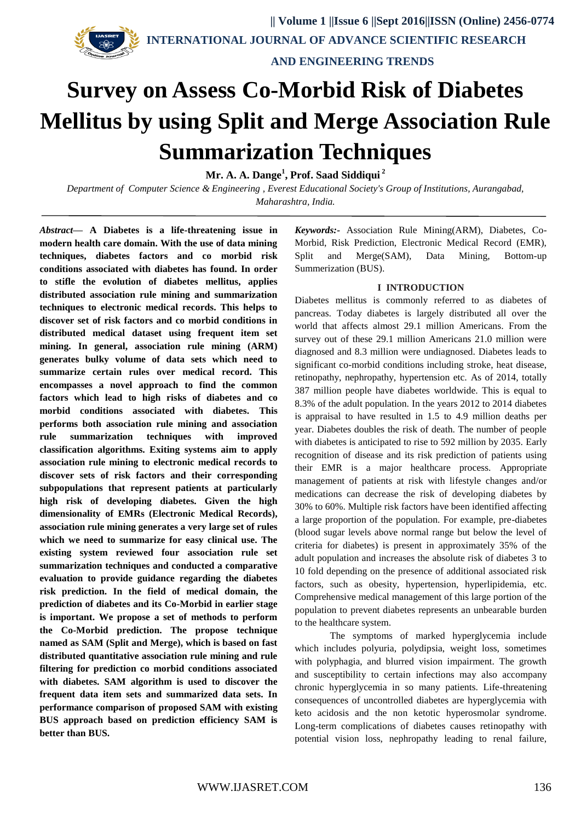

 **INTERNATIONAL JOURNAL OF ADVANCE SCIENTIFIC RESEARCH** 

 **AND ENGINEERING TRENDS**

# **Survey on Assess Co-Morbid Risk of Diabetes Mellitus by using Split and Merge Association Rule Summarization Techniques**

**Mr. A. A. Dange<sup>1</sup> , Prof. Saad Siddiqui <sup>2</sup>**

*Department of Computer Science & Engineering , Everest Educational Society's Group of Institutions, Aurangabad, Maharashtra, India.*

*Abstract***— A Diabetes is a life-threatening issue in modern health care domain. With the use of data mining techniques, diabetes factors and co morbid risk conditions associated with diabetes has found. In order to stifle the evolution of diabetes mellitus, applies distributed association rule mining and summarization techniques to electronic medical records. This helps to discover set of risk factors and co morbid conditions in distributed medical dataset using frequent item set mining. In general, association rule mining (ARM) generates bulky volume of data sets which need to summarize certain rules over medical record. This encompasses a novel approach to find the common factors which lead to high risks of diabetes and co morbid conditions associated with diabetes. This performs both association rule mining and association rule summarization techniques with improved classification algorithms. Exiting systems aim to apply association rule mining to electronic medical records to discover sets of risk factors and their corresponding subpopulations that represent patients at particularly high risk of developing diabetes. Given the high dimensionality of EMRs (Electronic Medical Records), association rule mining generates a very large set of rules which we need to summarize for easy clinical use. The existing system reviewed four association rule set summarization techniques and conducted a comparative evaluation to provide guidance regarding the diabetes risk prediction. In the field of medical domain, the prediction of diabetes and its Co-Morbid in earlier stage is important. We propose a set of methods to perform the Co-Morbid prediction. The propose technique named as SAM (Split and Merge), which is based on fast distributed quantitative association rule mining and rule filtering for prediction co morbid conditions associated with diabetes. SAM algorithm is used to discover the frequent data item sets and summarized data sets. In performance comparison of proposed SAM with existing BUS approach based on prediction efficiency SAM is better than BUS.**

*Keywords:-* Association Rule Mining(ARM), Diabetes, Co-Morbid, Risk Prediction, Electronic Medical Record (EMR), Split and Merge(SAM), Data Mining, Bottom-up Summerization (BUS).

# **I INTRODUCTION**

Diabetes mellitus is commonly referred to as diabetes of pancreas. Today diabetes is largely distributed all over the world that affects almost 29.1 million Americans. From the survey out of these 29.1 million Americans 21.0 million were diagnosed and 8.3 million were undiagnosed. Diabetes leads to significant co-morbid conditions including stroke, heat disease, retinopathy, nephropathy, hypertension etc. As of 2014, totally 387 million people have diabetes worldwide. This is equal to 8.3% of the adult population. In the years 2012 to 2014 diabetes is appraisal to have resulted in 1.5 to 4.9 million deaths per year. Diabetes doubles the risk of death. The number of people with diabetes is anticipated to rise to 592 million by 2035. Early recognition of disease and its risk prediction of patients using their EMR is a major healthcare process. Appropriate management of patients at risk with lifestyle changes and/or medications can decrease the risk of developing diabetes by 30% to 60%. Multiple risk factors have been identified affecting a large proportion of the population. For example, pre-diabetes (blood sugar levels above normal range but below the level of criteria for diabetes) is present in approximately 35% of the adult population and increases the absolute risk of diabetes 3 to 10 fold depending on the presence of additional associated risk factors, such as obesity, hypertension, hyperlipidemia, etc. Comprehensive medical management of this large portion of the population to prevent diabetes represents an unbearable burden to the healthcare system.

The symptoms of marked hyperglycemia include which includes polyuria, polydipsia, weight loss, sometimes with polyphagia, and blurred vision impairment. The growth and susceptibility to certain infections may also accompany chronic hyperglycemia in so many patients. Life-threatening consequences of uncontrolled diabetes are hyperglycemia with keto acidosis and the non ketotic hyperosmolar syndrome. Long-term complications of diabetes causes retinopathy with potential vision loss, nephropathy leading to renal failure,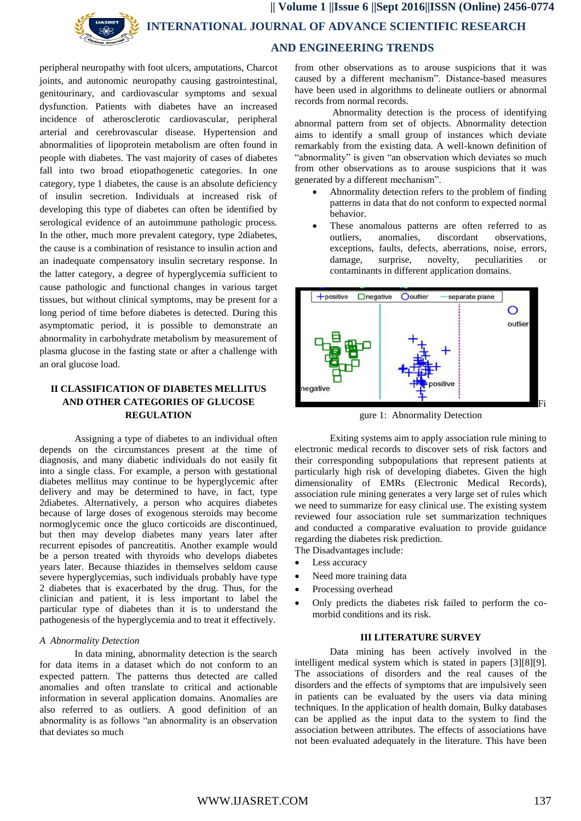

peripheral neuropathy with foot ulcers, amputations, Charcot joints, and autonomic neuropathy causing gastrointestinal, genitourinary, and cardiovascular symptoms and sexual dysfunction. Patients with diabetes have an increased incidence of atherosclerotic cardiovascular, peripheral arterial and cerebrovascular disease. Hypertension and abnormalities of lipoprotein metabolism are often found in people with diabetes. The vast majority of cases of diabetes fall into two broad etiopathogenetic categories. In one category, type 1 diabetes, the cause is an absolute deficiency of insulin secretion. Individuals at increased risk of developing this type of diabetes can often be identified by serological evidence of an autoimmune pathologic process. In the other, much more prevalent category, type 2diabetes, the cause is a combination of resistance to insulin action and an inadequate compensatory insulin secretary response. In the latter category, a degree of hyperglycemia sufficient to cause pathologic and functional changes in various target tissues, but without clinical symptoms, may be present for a long period of time before diabetes is detected. During this asymptomatic period, it is possible to demonstrate an abnormality in carbohydrate metabolism by measurement of plasma glucose in the fasting state or after a challenge with an oral glucose load.

# **II CLASSIFICATION OF DIABETES MELLITUS AND OTHER CATEGORIES OF GLUCOSE REGULATION**

Assigning a type of diabetes to an individual often depends on the circumstances present at the time of diagnosis, and many diabetic individuals do not easily fit into a single class. For example, a person with gestational diabetes mellitus may continue to be hyperglycemic after delivery and may be determined to have, in fact, type 2diabetes. Alternatively, a person who acquires diabetes because of large doses of exogenous steroids may become normoglycemic once the gluco corticoids are discontinued, but then may develop diabetes many years later after recurrent episodes of pancreatitis. Another example would be a person treated with thyroids who develops diabetes years later. Because thiazides in themselves seldom cause severe hyperglycemias, such individuals probably have type 2 diabetes that is exacerbated by the drug. Thus, for the clinician and patient, it is less important to label the particular type of diabetes than it is to understand the pathogenesis of the hyperglycemia and to treat it effectively.

#### *A Abnormality Detection*

In data mining, abnormality detection is the search for data items in a dataset which do not conform to an expected pattern. The patterns thus detected are called anomalies and often translate to critical and actionable information in several application domains. Anomalies are also referred to as outliers. A good definition of an abnormality is as follows "an abnormality is an observation that deviates so much

from other observations as to arouse suspicions that it was caused by a different mechanism". Distance-based measures have been used in algorithms to delineate outliers or abnormal records from normal records.

Abnormality detection is the process of identifying abnormal pattern from set of objects. Abnormality detection aims to identify a small group of instances which deviate remarkably from the existing data. A well-known definition of "abnormality" is given "an observation which deviates so much from other observations as to arouse suspicions that it was generated by a different mechanism".

- Abnormality detection refers to the problem of finding patterns in data that do not conform to expected normal behavior.
- These anomalous patterns are often referred to as outliers, anomalies, discordant observations, exceptions, faults, defects, aberrations, noise, errors, damage, surprise, novelty, peculiarities or contaminants in different application domains.



gure 1: Abnormality Detection

Exiting systems aim to apply association rule mining to electronic medical records to discover sets of risk factors and their corresponding subpopulations that represent patients at particularly high risk of developing diabetes. Given the high dimensionality of EMRs (Electronic Medical Records), association rule mining generates a very large set of rules which we need to summarize for easy clinical use. The existing system reviewed four association rule set summarization techniques and conducted a comparative evaluation to provide guidance regarding the diabetes risk prediction. The Disadvantages include:

- Less accuracy
- Need more training data
- Processing overhead
- Only predicts the diabetes risk failed to perform the comorbid conditions and its risk.

# **III LITERATURE SURVEY**

Data mining has been actively involved in the intelligent medical system which is stated in papers [3][8][9]. The associations of disorders and the real causes of the disorders and the effects of symptoms that are impulsively seen in patients can be evaluated by the users via data mining techniques. In the application of health domain, Bulky databases can be applied as the input data to the system to find the association between attributes. The effects of associations have not been evaluated adequately in the literature. This have been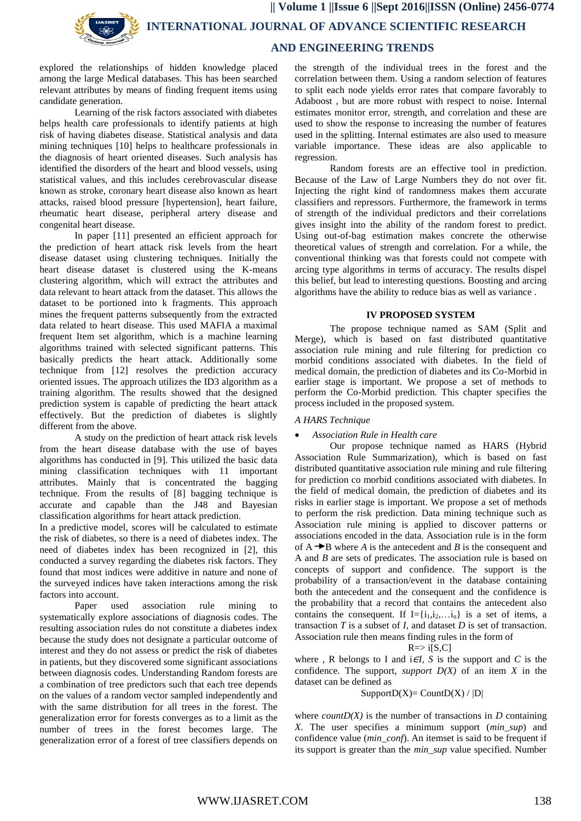**|| Volume 1 ||Issue 6 ||Sept 2016||ISSN (Online) 2456-0774 INTERNATIONAL JOURNAL OF ADVANCE SCIENTIFIC RESEARCH AND ENGINEERING TRENDS**

explored the relationships of hidden knowledge placed among the large Medical databases. This has been searched relevant attributes by means of finding frequent items using candidate generation.

Learning of the risk factors associated with diabetes helps health care professionals to identify patients at high risk of having diabetes disease. Statistical analysis and data mining techniques [10] helps to healthcare professionals in the diagnosis of heart oriented diseases. Such analysis has identified the disorders of the heart and blood vessels, using statistical values, and this includes cerebrovascular disease known as stroke, coronary heart disease also known as heart attacks, raised blood pressure [hypertension], heart failure, rheumatic heart disease, peripheral artery disease and congenital heart disease.

In paper [11] presented an efficient approach for the prediction of heart attack risk levels from the heart disease dataset using clustering techniques. Initially the heart disease dataset is clustered using the K-means clustering algorithm, which will extract the attributes and data relevant to heart attack from the dataset. This allows the dataset to be portioned into k fragments. This approach mines the frequent patterns subsequently from the extracted data related to heart disease. This used MAFIA a maximal frequent Item set algorithm, which is a machine learning algorithms trained with selected significant patterns. This basically predicts the heart attack. Additionally some technique from [12] resolves the prediction accuracy oriented issues. The approach utilizes the ID3 algorithm as a training algorithm. The results showed that the designed prediction system is capable of predicting the heart attack effectively. But the prediction of diabetes is slightly different from the above.

A study on the prediction of heart attack risk levels from the heart disease database with the use of bayes algorithms has conducted in [9]. This utilized the basic data mining classification techniques with 11 important attributes. Mainly that is concentrated the bagging technique. From the results of [8] bagging technique is accurate and capable than the J48 and Bayesian classification algorithms for heart attack prediction.

In a predictive model, scores will be calculated to estimate the risk of diabetes, so there is a need of diabetes index. The need of diabetes index has been recognized in [2], this conducted a survey regarding the diabetes risk factors. They found that most indices were additive in nature and none of the surveyed indices have taken interactions among the risk factors into account.

Paper used association rule mining to systematically explore associations of diagnosis codes. The resulting association rules do not constitute a diabetes index because the study does not designate a particular outcome of interest and they do not assess or predict the risk of diabetes in patients, but they discovered some significant associations between diagnosis codes. Understanding Random forests are a combination of tree predictors such that each tree depends on the values of a random vector sampled independently and with the same distribution for all trees in the forest. The generalization error for forests converges as to a limit as the number of trees in the forest becomes large. The generalization error of a forest of tree classifiers depends on

the strength of the individual trees in the forest and the correlation between them. Using a random selection of features to split each node yields error rates that compare favorably to Adaboost , but are more robust with respect to noise. Internal estimates monitor error, strength, and correlation and these are used to show the response to increasing the number of features used in the splitting. Internal estimates are also used to measure variable importance. These ideas are also applicable to regression.

Random forests are an effective tool in prediction. Because of the Law of Large Numbers they do not over fit. Injecting the right kind of randomness makes them accurate classifiers and repressors. Furthermore, the framework in terms of strength of the individual predictors and their correlations gives insight into the ability of the random forest to predict. Using out-of-bag estimation makes concrete the otherwise theoretical values of strength and correlation. For a while, the conventional thinking was that forests could not compete with arcing type algorithms in terms of accuracy. The results dispel this belief, but lead to interesting questions. Boosting and arcing algorithms have the ability to reduce bias as well as variance .

#### **IV PROPOSED SYSTEM**

The propose technique named as SAM (Split and Merge), which is based on fast distributed quantitative association rule mining and rule filtering for prediction co morbid conditions associated with diabetes. In the field of medical domain, the prediction of diabetes and its Co-Morbid in earlier stage is important. We propose a set of methods to perform the Co-Morbid prediction. This chapter specifies the process included in the proposed system.

#### *A HARS Technique*

### *Association Rule in Health care*

Our propose technique named as HARS (Hybrid Association Rule Summarization), which is based on fast distributed quantitative association rule mining and rule filtering for prediction co morbid conditions associated with diabetes. In the field of medical domain, the prediction of diabetes and its risks in earlier stage is important. We propose a set of methods to perform the risk prediction. Data mining technique such as Association rule mining is applied to discover patterns or associations encoded in the data. Association rule is in the form of  $A \rightarrow B$  where *A* is the antecedent and *B* is the consequent and A and *B* are sets of predicates. The association rule is based on concepts of support and confidence. The support is the probability of a transaction/event in the database containing both the antecedent and the consequent and the confidence is the probability that a record that contains the antecedent also contains the consequent. If  $I = \{i_1, i_2, \ldots, i_n\}$  is a set of items, a transaction *T* is a subset of *I*, and dataset *D* is set of transaction. Association rule then means finding rules in the form of

$$
R = > i[S, C]
$$

where, R belongs to I and  $i \in I$ , S is the support and C is the confidence. The support, *support D(X)* of an item *X* in the dataset can be defined as

## $SupportD(X) = CountD(X) / |D|$

where *countD(X)* is the number of transactions in  $D$  containing *X*. The user specifies a minimum support (*min\_sup*) and confidence value (*min\_conf*). An itemset is said to be frequent if its support is greater than the *min\_sup* value specified. Number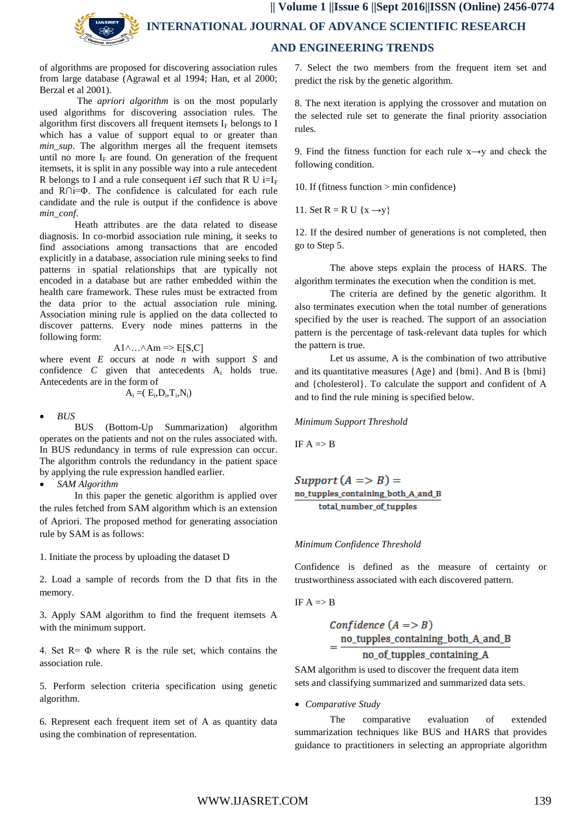of algorithms are proposed for discovering association rules from large database (Agrawal et al 1994; Han, et al 2000; Berzal et al 2001).

 The *apriori algorithm* is on the most popularly used algorithms for discovering association rules. The algorithm first discovers all frequent itemsets  $I_F$  belongs to I which has a value of support equal to or greater than *min\_sup.* The algorithm merges all the frequent itemsets until no more  $I_F$  are found. On generation of the frequent itemsets, it is split in any possible way into a rule antecedent R belongs to I and a rule consequent i $\in$ *I* such that R U i=I<sub>F</sub> and R∩i=Φ. The confidence is calculated for each rule candidate and the rule is output if the confidence is above *min\_conf*.

 Heath attributes are the data related to disease diagnosis. In co-morbid association rule mining, it seeks to find associations among transactions that are encoded explicitly in a database, association rule mining seeks to find patterns in spatial relationships that are typically not encoded in a database but are rather embedded within the health care framework. These rules must be extracted from the data prior to the actual association rule mining. Association mining rule is applied on the data collected to discover patterns. Every node mines patterns in the following form:

$$
A1 \wedge ... \wedge Am \Rightarrow E[S,C]
$$

where event *E* occurs at node *n* with support *S* and confidence  $C$  given that antecedents  $A_i$  holds true. Antecedents are in the form of

$$
A_i\mathbin=\!\!(\,E_i\!,\!D_i\!,\!T_i\!,\!N_i\!)
$$

*BUS*

BUS (Bottom-Up Summarization) algorithm operates on the patients and not on the rules associated with. In BUS redundancy in terms of rule expression can occur. The algorithm controls the redundancy in the patient space by applying the rule expression handled earlier.

*SAM Algorithm*

In this paper the genetic algorithm is applied over the rules fetched from SAM algorithm which is an extension of Apriori. The proposed method for generating association rule by SAM is as follows:

1. Initiate the process by uploading the dataset D

2. Load a sample of records from the D that fits in the memory.

3. Apply SAM algorithm to find the frequent itemsets A with the minimum support.

4. Set  $R = \Phi$  where R is the rule set, which contains the association rule.

5. Perform selection criteria specification using genetic algorithm.

6. Represent each frequent item set of A as quantity data using the combination of representation.

7. Select the two members from the frequent item set and predict the risk by the genetic algorithm.

8. The next iteration is applying the crossover and mutation on the selected rule set to generate the final priority association rules.

9. Find the fitness function for each rule  $x \rightarrow y$  and check the following condition.

10. If (fitness function > min confidence)

11. Set  $R = R U \{x \rightarrow v\}$ 

12. If the desired number of generations is not completed, then go to Step 5.

The above steps explain the process of HARS. The algorithm terminates the execution when the condition is met.

The criteria are defined by the genetic algorithm. It also terminates execution when the total number of generations specified by the user is reached. The support of an association pattern is the percentage of task-relevant data tuples for which the pattern is true.

Let us assume, A is the combination of two attributive and its quantitative measures {Age} and {bmi}. And B is {bmi} and {cholesterol}. To calculate the support and confident of A and to find the rule mining is specified below.

#### *Minimum Support Threshold*

IF  $A \Rightarrow B$ 

Support  $(A \Rightarrow B) =$ no\_tupples\_containing\_both\_A\_and\_B total\_number\_of\_tupples

### *Minimum Confidence Threshold*

Confidence is defined as the measure of certainty or trustworthiness associated with each discovered pattern.

$$
IF A => B
$$

$$
Confidence (A \Rightarrow B)
$$
  
= 
$$
\frac{no\_tupples\_containing\_both\_A\_and\_B}{no\_of\_tupples\_containing\_A}
$$

SAM algorithm is used to discover the frequent data item sets and classifying summarized and summarized data sets.

*Comparative Study*

The comparative evaluation of extended summarization techniques like BUS and HARS that provides guidance to practitioners in selecting an appropriate algorithm